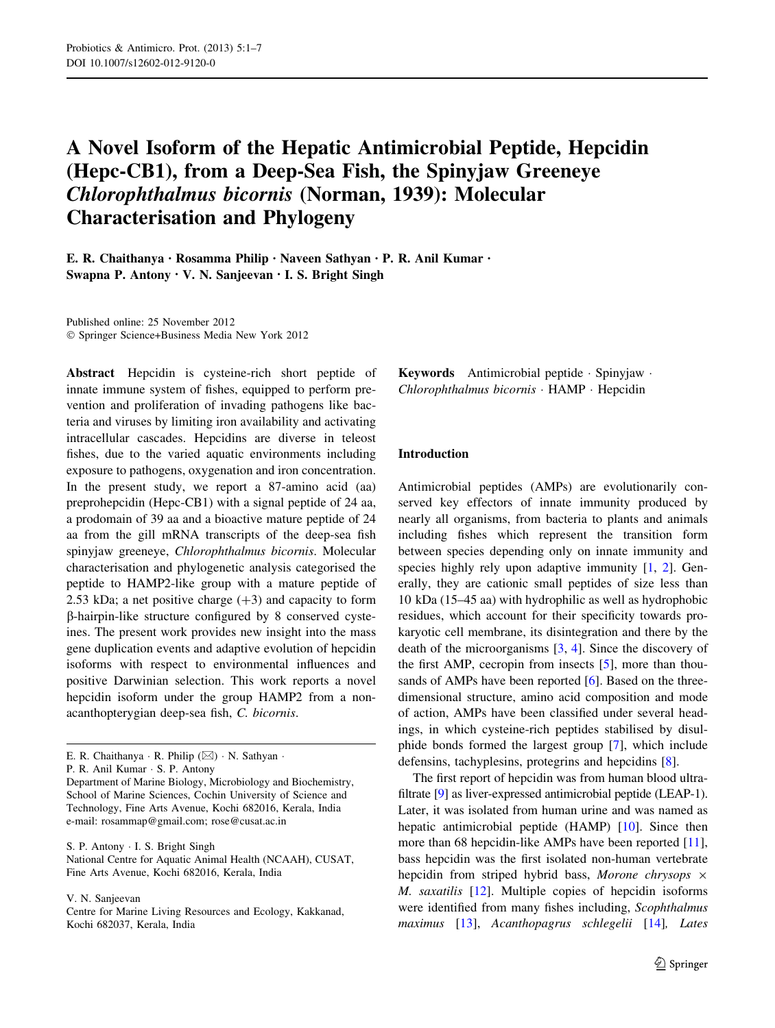# A Novel Isoform of the Hepatic Antimicrobial Peptide, Hepcidin (Hepc-CB1), from a Deep-Sea Fish, the Spinyjaw Greeneye Chlorophthalmus bicornis (Norman, 1939): Molecular Characterisation and Phylogeny

E. R. Chaithanya • Rosamma Philip • Naveen Sathyan • P. R. Anil Kumar • Swapna P. Antony • V. N. Sanjeevan • I. S. Bright Singh

Published online: 25 November 2012 - Springer Science+Business Media New York 2012

Abstract Hepcidin is cysteine-rich short peptide of innate immune system of fishes, equipped to perform prevention and proliferation of invading pathogens like bacteria and viruses by limiting iron availability and activating intracellular cascades. Hepcidins are diverse in teleost fishes, due to the varied aquatic environments including exposure to pathogens, oxygenation and iron concentration. In the present study, we report a 87-amino acid (aa) preprohepcidin (Hepc-CB1) with a signal peptide of 24 aa, a prodomain of 39 aa and a bioactive mature peptide of 24 aa from the gill mRNA transcripts of the deep-sea fish spinyjaw greeneye, Chlorophthalmus bicornis. Molecular characterisation and phylogenetic analysis categorised the peptide to HAMP2-like group with a mature peptide of 2.53 kDa; a net positive charge  $(+3)$  and capacity to form b-hairpin-like structure configured by 8 conserved cysteines. The present work provides new insight into the mass gene duplication events and adaptive evolution of hepcidin isoforms with respect to environmental influences and positive Darwinian selection. This work reports a novel hepcidin isoform under the group HAMP2 from a nonacanthopterygian deep-sea fish, C. bicornis.

P. R. Anil Kumar - S. P. Antony

S. P. Antony - I. S. Bright Singh National Centre for Aquatic Animal Health (NCAAH), CUSAT, Fine Arts Avenue, Kochi 682016, Kerala, India

V. N. Sanjeevan

Keywords Antimicrobial peptide - Spinyjaw - Chlorophthalmus bicornis - HAMP - Hepcidin

## Introduction

Antimicrobial peptides (AMPs) are evolutionarily conserved key effectors of innate immunity produced by nearly all organisms, from bacteria to plants and animals including fishes which represent the transition form between species depending only on innate immunity and species highly rely upon adaptive immunity [[1,](#page-4-0) [2](#page-5-0)]. Generally, they are cationic small peptides of size less than 10 kDa (15–45 aa) with hydrophilic as well as hydrophobic residues, which account for their specificity towards prokaryotic cell membrane, its disintegration and there by the death of the microorganisms [[3,](#page-5-0) [4](#page-5-0)]. Since the discovery of the first AMP, cecropin from insects [[5\]](#page-5-0), more than thou-sands of AMPs have been reported [[6\]](#page-5-0). Based on the threedimensional structure, amino acid composition and mode of action, AMPs have been classified under several headings, in which cysteine-rich peptides stabilised by disulphide bonds formed the largest group [\[7](#page-5-0)], which include defensins, tachyplesins, protegrins and hepcidins [[8\]](#page-5-0).

The first report of hepcidin was from human blood ultrafiltrate [[9\]](#page-5-0) as liver-expressed antimicrobial peptide (LEAP-1). Later, it was isolated from human urine and was named as hepatic antimicrobial peptide (HAMP) [\[10](#page-5-0)]. Since then more than 68 hepcidin-like AMPs have been reported [\[11](#page-5-0)], bass hepcidin was the first isolated non-human vertebrate hepcidin from striped hybrid bass, Morone chrysops  $\times$ M. saxatilis [\[12](#page-5-0)]. Multiple copies of hepcidin isoforms were identified from many fishes including, Scophthalmus maximus [[13\]](#page-5-0), Acanthopagrus schlegelii [\[14](#page-5-0)], Lates

E. R. Chaithanya  $\cdot$  R. Philip ( $\boxtimes$ )  $\cdot$  N. Sathyan  $\cdot$ 

Department of Marine Biology, Microbiology and Biochemistry, School of Marine Sciences, Cochin University of Science and Technology, Fine Arts Avenue, Kochi 682016, Kerala, India e-mail: rosammap@gmail.com; rose@cusat.ac.in

Centre for Marine Living Resources and Ecology, Kakkanad, Kochi 682037, Kerala, India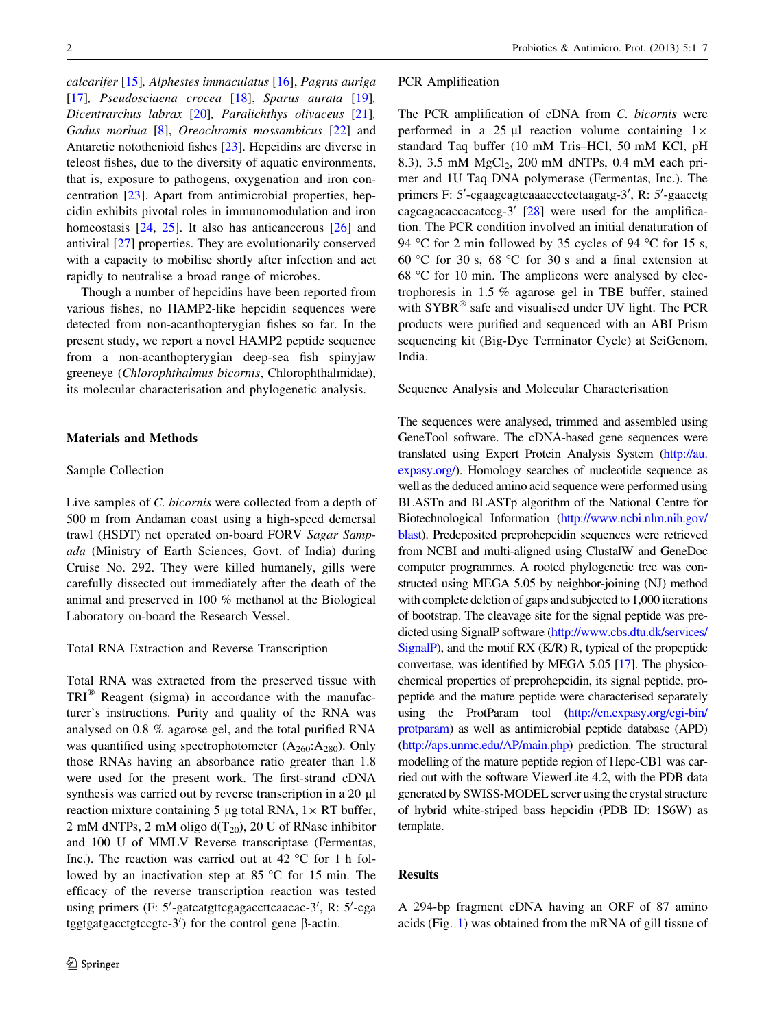calcarifer [\[15](#page-5-0)], Alphestes immaculatus [[16\]](#page-5-0), Pagrus auriga [\[17](#page-5-0)], Pseudosciaena crocea [\[18](#page-5-0)], Sparus aurata [\[19](#page-5-0)], Dicentrarchus labrax [[20\]](#page-5-0), Paralichthys olivaceus [\[21](#page-5-0)], Gadus morhua [\[8](#page-5-0)], Oreochromis mossambicus [\[22](#page-5-0)] and Antarctic notothenioid fishes [\[23\]](#page-5-0). Hepcidins are diverse in teleost fishes, due to the diversity of aquatic environments, that is, exposure to pathogens, oxygenation and iron concentration [\[23](#page-5-0)]. Apart from antimicrobial properties, hepcidin exhibits pivotal roles in immunomodulation and iron homeostasis  $[24, 25]$  $[24, 25]$  $[24, 25]$  $[24, 25]$ . It also has anticancerous  $[26]$  $[26]$  and antiviral [\[27](#page-5-0)] properties. They are evolutionarily conserved with a capacity to mobilise shortly after infection and act rapidly to neutralise a broad range of microbes.

Though a number of hepcidins have been reported from various fishes, no HAMP2-like hepcidin sequences were detected from non-acanthopterygian fishes so far. In the present study, we report a novel HAMP2 peptide sequence from a non-acanthopterygian deep-sea fish spinyjaw greeneye (Chlorophthalmus bicornis, Chlorophthalmidae), its molecular characterisation and phylogenetic analysis.

## Materials and Methods

#### Sample Collection

Live samples of C. bicornis were collected from a depth of 500 m from Andaman coast using a high-speed demersal trawl (HSDT) net operated on-board FORV Sagar Sampada (Ministry of Earth Sciences, Govt. of India) during Cruise No. 292. They were killed humanely, gills were carefully dissected out immediately after the death of the animal and preserved in 100 % methanol at the Biological Laboratory on-board the Research Vessel.

Total RNA Extraction and Reverse Transcription

Total RNA was extracted from the preserved tissue with  $TRI^{\circledR}$  Reagent (sigma) in accordance with the manufacturer's instructions. Purity and quality of the RNA was analysed on 0.8 % agarose gel, and the total purified RNA was quantified using spectrophotometer  $(A_{260}:A_{280})$ . Only those RNAs having an absorbance ratio greater than 1.8 were used for the present work. The first-strand cDNA synthesis was carried out by reverse transcription in a 20 µl reaction mixture containing 5 µg total RNA,  $1 \times RT$  buffer, 2 mM dNTPs, 2 mM oligo  $d(T_{20})$ , 20 U of RNase inhibitor and 100 U of MMLV Reverse transcriptase (Fermentas, Inc.). The reaction was carried out at  $42^{\circ}$ C for 1 h followed by an inactivation step at  $85^{\circ}$ C for 15 min. The efficacy of the reverse transcription reaction was tested using primers (F: 5'-gatcatgttcgagaccttcaacac-3', R: 5'-cga tggtgatgacctgtccgtc-3') for the control gene  $\beta$ -actin.

#### PCR Amplification

The PCR amplification of cDNA from C. bicornis were performed in a 25  $\mu$ l reaction volume containing  $1 \times$ standard Taq buffer (10 mM Tris–HCl, 50 mM KCl, pH 8.3), 3.5 mM  $MgCl<sub>2</sub>$ , 200 mM dNTPs, 0.4 mM each primer and 1U Taq DNA polymerase (Fermentas, Inc.). The primers F: 5'-cgaagcagtcaaaccctcctaagatg-3', R: 5'-gaacctg cagcagacaccacatccg-3'  $[28]$  $[28]$  were used for the amplification. The PCR condition involved an initial denaturation of 94 °C for 2 min followed by 35 cycles of 94 °C for 15 s, 60 °C for 30 s, 68 °C for 30 s and a final extension at 68  $\degree$ C for 10 min. The amplicons were analysed by electrophoresis in 1.5 % agarose gel in TBE buffer, stained with  $SYBR^{\circledR}$  safe and visualised under UV light. The PCR products were purified and sequenced with an ABI Prism sequencing kit (Big-Dye Terminator Cycle) at SciGenom, India.

Sequence Analysis and Molecular Characterisation

The sequences were analysed, trimmed and assembled using GeneTool software. The cDNA-based gene sequences were translated using Expert Protein Analysis System [\(http://au.](http://au.expasy.org/) [expasy.org/](http://au.expasy.org/)). Homology searches of nucleotide sequence as well as the deduced amino acid sequence were performed using BLASTn and BLASTp algorithm of the National Centre for Biotechnological Information [\(http://www.ncbi.nlm.nih.gov/](http://www.ncbi.nlm.nih.gov/blast) [blast\)](http://www.ncbi.nlm.nih.gov/blast). Predeposited preprohepcidin sequences were retrieved from NCBI and multi-aligned using ClustalW and GeneDoc computer programmes. A rooted phylogenetic tree was constructed using MEGA 5.05 by neighbor-joining (NJ) method with complete deletion of gaps and subjected to 1,000 iterations of bootstrap. The cleavage site for the signal peptide was predicted using SignalP software [\(http://www.cbs.dtu.dk/services/](http://www.cbs.dtu.dk/services/SignalP) [SignalP\)](http://www.cbs.dtu.dk/services/SignalP), and the motif RX (K/R) R, typical of the propeptide convertase, was identified by MEGA 5.05 [\[17](#page-5-0)]. The physicochemical properties of preprohepcidin, its signal peptide, propeptide and the mature peptide were characterised separately using the ProtParam tool [\(http://cn.expasy.org/cgi-bin/](http://cn.expasy.org/cgi-bin/protparam) [protparam](http://cn.expasy.org/cgi-bin/protparam)) as well as antimicrobial peptide database (APD) [\(http://aps.unmc.edu/AP/main.php](http://aps.unmc.edu/AP/main.php)) prediction. The structural modelling of the mature peptide region of Hepc-CB1 was carried out with the software ViewerLite 4.2, with the PDB data generated by SWISS-MODEL server using the crystal structure of hybrid white-striped bass hepcidin (PDB ID: 1S6W) as template.

## Results

A 294-bp fragment cDNA having an ORF of 87 amino acids (Fig. [1](#page-2-0)) was obtained from the mRNA of gill tissue of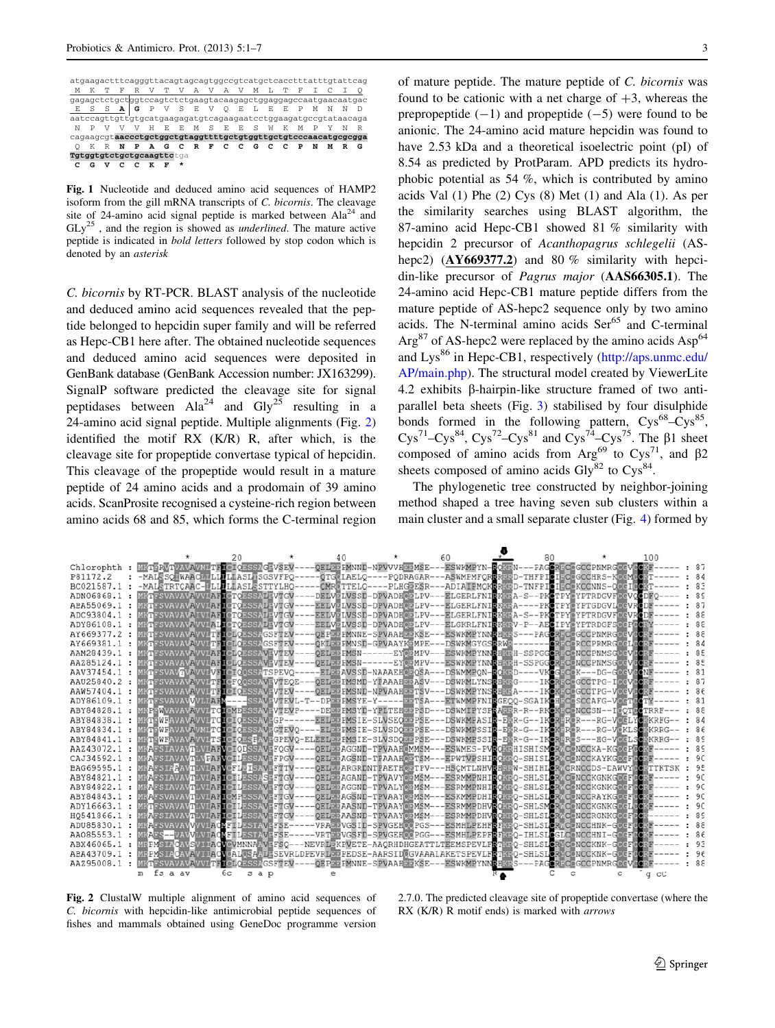<span id="page-2-0"></span>atgaagactttcagggttacagtagcagtggccgtcatgctcacctttatttgtattcag M K T F R V T V A V A V M L T F I C I Q gagagctctgctggtccagtctctgaagtacaagagctggaggagccaatgaacaatgac E S S **A G** P V S E V Q E L E E P M N N D aatccagttgttgtgcatgaagagatgtcagaagaatcctggaagatgccgtataacaga N P V V V H E E M S E E S W K M P Y N R cagaagcgt**aaccctgctggctgtaggttttgctgtggttgctgtcccaacatgcgcgga** Q K R **N P A G C R F C C G C C P N M R G Tgtggtgtctgctgcaagttc**tga  **C G V C C K F \*** 

Fig. 1 Nucleotide and deduced amino acid sequences of HAMP2 isoform from the gill mRNA transcripts of C. bicornis. The cleavage site of 24-amino acid signal peptide is marked between  $A1a^{24}$  and  $GLy<sup>25</sup>$ , and the region is showed as *underlined*. The mature active peptide is indicated in bold letters followed by stop codon which is denoted by an asterisk

C. bicornis by RT-PCR. BLAST analysis of the nucleotide and deduced amino acid sequences revealed that the peptide belonged to hepcidin super family and will be referred as Hepc-CB1 here after. The obtained nucleotide sequences and deduced amino acid sequences were deposited in GenBank database (GenBank Accession number: JX163299). SignalP software predicted the cleavage site for signal peptidases between  $A1a^{24}$  and  $Gly^{25}$  resulting in a 24-amino acid signal peptide. Multiple alignments (Fig. 2) identified the motif RX (K/R) R, after which, is the cleavage site for propeptide convertase typical of hepcidin. This cleavage of the propeptide would result in a mature peptide of 24 amino acids and a prodomain of 39 amino acids. ScanProsite recognised a cysteine-rich region between amino acids 68 and 85, which forms the C-terminal region of mature peptide. The mature peptide of C. bicornis was found to be cationic with a net charge of  $+3$ , whereas the prepropeptide  $(-1)$  and propeptide  $(-5)$  were found to be anionic. The 24-amino acid mature hepcidin was found to have 2.53 kDa and a theoretical isoelectric point (pI) of 8.54 as predicted by ProtParam. APD predicts its hydrophobic potential as 54 %, which is contributed by amino acids Val (1) Phe (2) Cys (8) Met (1) and Ala (1). As per the similarity searches using BLAST algorithm, the 87-amino acid Hepc-CB1 showed 81 % similarity with hepcidin 2 precursor of Acanthopagrus schlegelii (AShepc2) ( $AY669377.2$ ) and 80 % similarity with hepcidin-like precursor of Pagrus major (AAS66305.1). The 24-amino acid Hepc-CB1 mature peptide differs from the mature peptide of AS-hepc2 sequence only by two amino acids. The N-terminal amino acids Ser<sup>65</sup> and C-terminal  $Arg<sup>87</sup>$  of AS-hepc2 were replaced by the amino acids Asp<sup>64</sup> and Lys<sup>86</sup> in Hepc-CB1, respectively [\(http://aps.unmc.edu/](http://aps.unmc.edu/AP/main.php) [AP/main.php](http://aps.unmc.edu/AP/main.php)). The structural model created by ViewerLite 4.2 exhibits  $\beta$ -hairpin-like structure framed of two antiparallel beta sheets (Fig. [3\)](#page-3-0) stabilised by four disulphide bonds formed in the following pattern,  $Cys^{68} - Cys^{85}$ , Cys<sup>71</sup>–Cys<sup>84</sup>, Cys<sup>72</sup>–Cys<sup>81</sup> and Cys<sup>74</sup>–Cys<sup>75</sup>. The  $\beta$ 1 sheet composed of amino acids from  $Arg^{69}$  to  $Cys^{71}$ , and  $\beta$ 2 sheets composed of amino acids  $\text{Gly}^{82}$  to  $\text{Cys}^{84}$ .

The phylogenetic tree constructed by neighbor-joining method shaped a tree having seven sub clusters within a main cluster and a small separate cluster (Fig. [4](#page-4-0)) formed by

|            |                                                                                                  | 20          | 40                                                                 |                                | 60 |                       |  |                                              | 100    |      |
|------------|--------------------------------------------------------------------------------------------------|-------------|--------------------------------------------------------------------|--------------------------------|----|-----------------------|--|----------------------------------------------|--------|------|
| Chlorophth | <b>METERVTVAVAVMLTFLCTOESSAGEVSEV</b>                                                            |             | OELDIO PMNND-NPVVVHDIOMSE--                                        |                                |    |                       |  | -ESWKMPYN-BOMBN---PAGORDOOGCCPNMRGOOVOOMF    |        | : 87 |
| P81172.2   | -MALSSO WAACH LLLLLASL SGSVFPQ-                                                                  |             | -OTGOLAELQ----PODRAGAR---ASWMPMFORERED-THFPICIECOGCCHRS-KOCMOOKT-  |                                |    |                       |  |                                              |        | 84   |
| BC021587.1 | -MALETRTCAAC-WLLWLLASLESTTYLHO-                                                                  |             | CMRETTELO----PLHGEESR---ADIAIPMOKERKED-TNFPICIECEKCCNNS-OKEIGO     |                                |    |                       |  |                                              |        | .83  |
| ADN06868.1 | MKTFSVAVAVAVVIAFICTOESSATPVTGV                                                                   |             | DELVELVSSD-DPVADH@ELPV---ELGERLFNIBK@BA-S--PKCTPY@YPTRDGVF@EVOCDFO |                                |    |                       |  |                                              |        | .89  |
| ABA55069.1 | KIFSVAVAVAVVIAFICTOESSAFFVTGV                                                                    |             | EELVELVSSD-DPVADHOELPV--                                           |                                |    | <b>ELGERLFNIBKGEA</b> |  | -PKCTPYCYPTGDGVLOCVRC                        |        | : 87 |
| ADC93804.1 | <b>MKTFSVAVAVAIVIAFICTOESSAFFVTGV</b>                                                            |             | EELVPLVSSD-DPVADHOPLPV---ELGERLFNIBK@BA-S                          |                                |    |                       |  | --PKOTPY YPTRDGVF MEVROD                     |        | .88  |
| ADY86108.1 | MKTFSVAVAVAVVIAII CTCESSAFFVTGV                                                                  |             | EELVWLVSSD-DPVADHWJLPV---ELGKRLFNIBKWWV-P--AELIPYWYPTRDGFSWFPWD    |                                |    |                       |  |                                              |        | 88   |
| AY669377.2 | MKTFSVAVAVAVVITFTCLOESSAGSFTEV                                                                   |             | OEPDDPMNNE-SPVAAHDDKSE-                                            |                                |    |                       |  | ESWKMPYNNBH3BS---PAGORDOOGCCPNMRGCCVOODF     |        | 88   |
| AY669381.1 | MKTFSVAVAVAVVLTFICLOESSAGSFTEV                                                                   |             | OKLDDPMNSD-GPVAAYKDMPE--                                           |                                |    | -DSWKMGYGSBRWS-       |  | ---- ORGCORCCPRMRGCCIGO:                     |        | .84  |
| AAM28439.1 | <b>KTESVAVAVAVVIAETCLOESSAVEVTEV-</b>                                                            |             | OELDD PMSN------EY@DMPV                                            |                                |    |                       |  | ESWKMPYNNBH36H-SSPGGORDCONCCPNMSGMcVGO       |        | .85  |
| AAZ85124.1 | <b>KTFSVAVAVAVVLAFTOLOESSAVEVTEV</b>                                                             |             | OEL 313 PMSN--                                                     | $---EY$ $\overline{000}$ $MPV$ |    |                       |  | ESWKMPYNNBHM5H-SSPGGORACONCCPNMSGCCV         |        | .85  |
| AAV37454.1 | <b>STESVAVTVAVVIVELCIOOSSATSPEVO-</b>                                                            |             |                                                                    | ELDDAVSSD-NAAAEHODOSA          |    | <b>DSWMMPON</b>       |  | --VKOGQOOK---DG-GOODVOON                     |        | .81  |
| AAU25840.2 | <b>KTESVAVAVAVVI TELOFOOSSAVEVTEOE</b>                                                           |             | OELDD PMSMD-YFAAAHDDASV-                                           |                                |    | -DSWKMLYNSBHRBG-      |  | -IKORDOGCCTPG-IGCVGO                         |        | 87   |
| AAW57404.1 | MKTFSVAVAVAVVITTICICESSAVFVTEV                                                                   |             | OEL 313 PMSND-NPVAAH 95 TSV                                        |                                |    | DSWKMPYNSDHREA-       |  | --IKOKROGCCTPG-VOCVOCR                       |        | 86   |
| ADY86109.1 | MRTFSVAVAVVVLLARV----SSAVFVTEVL-                                                                 |             |                                                                    | $DF55 FMSYE-Y---F55 TSA$       |    |                       |  | ETWMMPFNIRGEOO-SGAIKEHROOSCCAFG-VOCTOOTY     |        | 81   |
| ABY84828.1 | KFFWVAVAVAVVITCIONDESSAVFVTEVP-                                                                  |             |                                                                    | DEDD PMSYD-YPLTEHDD PSD--      |    |                       |  | -DSWMIPYSPEARER-R--RKCKROCONCCSN--ICOTOCTRRF |        | -88  |
| ABY84838.1 | <b>KTEWFAVAVAVVITCTCTCESSAVFGP--</b>                                                             |             | EELDD PMSIE-SLVSEODD PSE-                                          |                                |    |                       |  | DSWKMFASIN-FER-G--IKORDROR---RG-VOCLYOBKRFG- |        | : 84 |
| ABY84834.1 | <b>KTEWFAVAVAVMLTCTCTQESSAVFGTEVO</b>                                                            |             |                                                                    | ELDD PMS IE-SLVSDODD PSE       |    |                       |  | DSWKMPSSIN-EER-G--IKOKER@R---RG-VOKLSOGKRRG- |        | .86  |
| ABY84841.1 | MKTEWFAVAVAVVITSICIOESFAVFGPEVQ-ELEELDDPMSIE-SLVSDQDDPSE                                         |             |                                                                    |                                |    |                       |  | DSWKMPSSIN-ERR-G--IKCRORS---HG-VOCLSOSKRRG-  |        | .89  |
| AAZ43072.1 | MKAFSIAVAVTLVIARVCIODSSAVEFOGV---                                                                |             | OELEEAGGND-TPVAAH@MMSM                                             |                                |    |                       |  | ESWMES-PVDOREHISHISMORACONCCKA-KGCCFGORE     |        | 89   |
| CAJ34592.1 | MKAFSIAVAVTLVPAFVCILESSAVFFPGV-                                                                  |             | OELDDAGSND-TFAAAHODTSM-                                            |                                |    |                       |  | EPWTVPSHIROKEO-SHISLORACONCCKAYKGOGFOODF     |        | 90   |
| BAG69595.1 | MKAFSIAAAVTLVLAFVCFLEISAVEFTTV                                                                   |             | OELEEARGRONTFAETHOPTPV-                                            |                                |    |                       |  | HSCMTLNHVRHRRW-SHIHLCRACRNCCDS-LAWVYCCETTKTS |        | 95   |
| ABY84821.1 | <b>MRAFSIAVAVTLVLARICILESSASFFTGV</b>                                                            |             | OELDDAGAND-TPVAVYODMSM-                                            |                                |    |                       |  | ESRMMPNHIROKEO-SHLSLORACCNCCKGNKGCEFCO       |        | 90   |
| ABY84822.1 | <b>KAFSIAVAVTLVIAFICILESSAVFFTGV</b>                                                             |             | OELDEAGGND-TPVALYOEMSM-                                            |                                |    |                       |  | ESRMMPNHIBORSO-SHLSLORACONCCKGNKGCCF         |        | 90   |
| ABY84843.1 | KAFSVAVAVTLVIARIONPESSAVPRTGV                                                                    |             | OELEE AGSND-TPVAAYOEMSM                                            |                                |    |                       |  | ESKMMPDHIBORGO-SHLSLORACONCCRAYKGOG          |        | 90   |
| ADY16663.1 | <b>MKTFSVAVAVTLVIATICILESSAVFTIGV</b>                                                            |             | OELEEAASND-TPVAAY@EMSM                                             |                                |    |                       |  | ESRMMPDHVBOREO-SHLSMORACONCCKGNKGOCL         |        | 90   |
| HO541866.1 | MKAFSIAVAVTLVIARICILESSAVEFTGV                                                                   |             | OELDDAASND-TPVAAYODMSM-                                            |                                |    |                       |  | ESRMMPDHVBORD-SHLSLORACONCCRGNKGOGFOO        |        | 89   |
| ADU85830.1 | MFAFSVAVAVVVVIAOVFILESTAVFFSE-                                                                   |             | VRADDVGSID-SPVGEHOOPGS                                             |                                |    |                       |  | ESMHLPEHFLFMSO-SHLSLOROGOOCCHNK-GOGFLOR      |        | 88   |
| AA085553.1 | KAFS--VAVVLVIAONFILESTAVPFSE                                                                     |             | VRTDDVGSFD-SPVGEHOOPGG                                             |                                |    |                       |  | ESMHLPEPFRFRFO-IHLSLOGLCONCCHNI-GOCFOOL      |        | 86   |
| ABX46065.1 | <b>MRPMSIACAVSVILACVOVMNNAAVEFSO--</b>                                                           |             | EVRL <sup>5</sup> KPVETE-AAQRHDHGEAT                               |                                |    |                       |  | TEEMSPEVLFBTM50-SHLSLORWCONCCKNK-GOOF        |        | 93   |
| ABA43709.1 | MRPMSIACAVAVI IAOVGALOSAALESEVRLDPEVRLDPEDSE-AARSIDCGVAAALAKETSPEVLFETKRO-SHLSLCRYCGNCCKNK-GCCFI |             |                                                                    |                                |    |                       |  |                                              |        | : 96 |
| AAZ95008.1 | <b>MKTESVAVAVAVVITETOLOESSAGSFTEV</b>                                                            |             | <b>OEPDD PMNNE-SPVAAHDDKSE</b>                                     |                                |    | ESWKMPYNNBHKES-       |  | <b>FAGORIO GOOD NMRGOG</b>                   |        | 88   |
|            | fs a av<br>m                                                                                     | 6с<br>s a p |                                                                    |                                |    |                       |  |                                              | $q$ cC |      |

Fig. 2 ClustalW multiple alignment of amino acid sequences of C. bicornis with hepcidin-like antimicrobial peptide sequences of fishes and mammals obtained using GeneDoc programme version

2.7.0. The predicted cleavage site of propeptide convertase (where the RX (K/R) R motif ends) is marked with *arrows*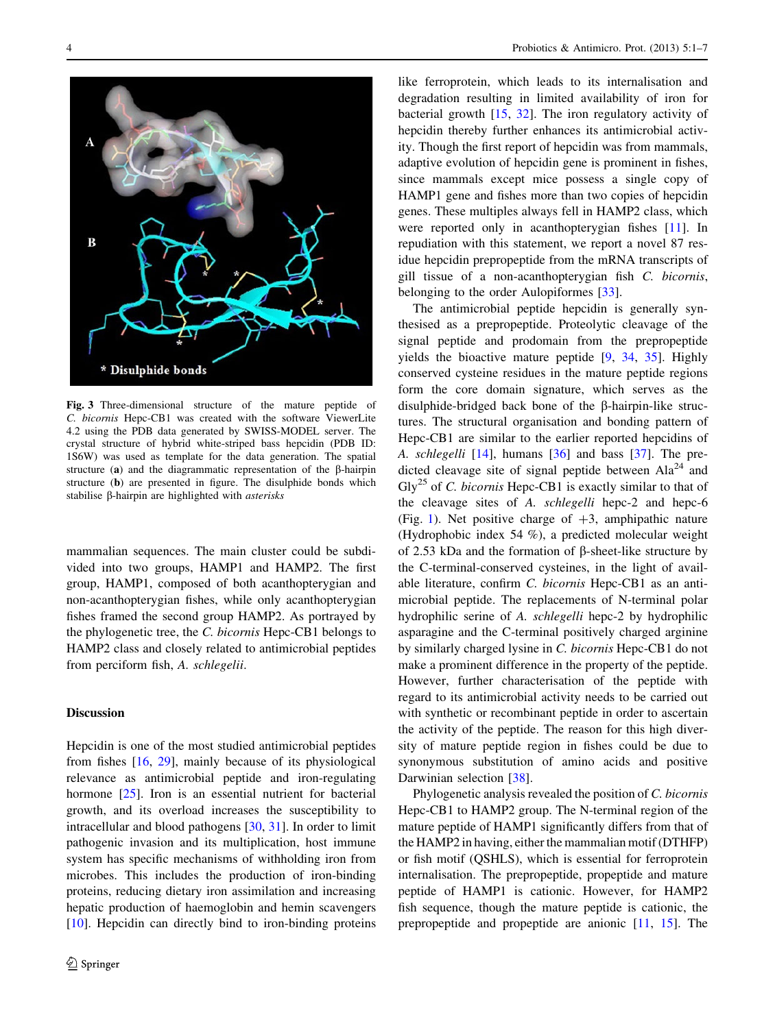<span id="page-3-0"></span>

Fig. 3 Three-dimensional structure of the mature peptide of C. bicornis Hepc-CB1 was created with the software ViewerLite 4.2 using the PDB data generated by SWISS-MODEL server. The crystal structure of hybrid white-striped bass hepcidin (PDB ID: 1S6W) was used as template for the data generation. The spatial structure (a) and the diagrammatic representation of the  $\beta$ -hairpin structure (b) are presented in figure. The disulphide bonds which stabilise  $\beta$ -hairpin are highlighted with *asterisks* 

mammalian sequences. The main cluster could be subdivided into two groups, HAMP1 and HAMP2. The first group, HAMP1, composed of both acanthopterygian and non-acanthopterygian fishes, while only acanthopterygian fishes framed the second group HAMP2. As portrayed by the phylogenetic tree, the C. bicornis Hepc-CB1 belongs to HAMP2 class and closely related to antimicrobial peptides from perciform fish, A. schlegelii.

## **Discussion**

Hepcidin is one of the most studied antimicrobial peptides from fishes [[16,](#page-5-0) [29](#page-5-0)], mainly because of its physiological relevance as antimicrobial peptide and iron-regulating hormone [[25\]](#page-5-0). Iron is an essential nutrient for bacterial growth, and its overload increases the susceptibility to intracellular and blood pathogens [\[30](#page-5-0), [31](#page-5-0)]. In order to limit pathogenic invasion and its multiplication, host immune system has specific mechanisms of withholding iron from microbes. This includes the production of iron-binding proteins, reducing dietary iron assimilation and increasing hepatic production of haemoglobin and hemin scavengers [\[10](#page-5-0)]. Hepcidin can directly bind to iron-binding proteins

like ferroprotein, which leads to its internalisation and degradation resulting in limited availability of iron for bacterial growth [\[15](#page-5-0), [32\]](#page-5-0). The iron regulatory activity of hepcidin thereby further enhances its antimicrobial activity. Though the first report of hepcidin was from mammals, adaptive evolution of hepcidin gene is prominent in fishes, since mammals except mice possess a single copy of HAMP1 gene and fishes more than two copies of hepcidin genes. These multiples always fell in HAMP2 class, which were reported only in acanthopterygian fishes [\[11](#page-5-0)]. In repudiation with this statement, we report a novel 87 residue hepcidin prepropeptide from the mRNA transcripts of gill tissue of a non-acanthopterygian fish C. bicornis, belonging to the order Aulopiformes [[33\]](#page-5-0).

The antimicrobial peptide hepcidin is generally synthesised as a prepropeptide. Proteolytic cleavage of the signal peptide and prodomain from the prepropeptide yields the bioactive mature peptide [\[9](#page-5-0), [34,](#page-5-0) [35\]](#page-6-0). Highly conserved cysteine residues in the mature peptide regions form the core domain signature, which serves as the disulphide-bridged back bone of the  $\beta$ -hairpin-like structures. The structural organisation and bonding pattern of Hepc-CB1 are similar to the earlier reported hepcidins of A. schlegelli [[14\]](#page-5-0), humans [\[36](#page-6-0)] and bass [\[37](#page-6-0)]. The predicted cleavage site of signal peptide between  $Ala^{24}$  and  $\text{Gly}^{25}$  of C. bicornis Hepc-CB1 is exactly similar to that of the cleavage sites of A. schlegelli hepc-2 and hepc-6 (Fig. [1\)](#page-2-0). Net positive charge of  $+3$ , amphipathic nature (Hydrophobic index 54 %), a predicted molecular weight of 2.53 kDa and the formation of  $\beta$ -sheet-like structure by the C-terminal-conserved cysteines, in the light of available literature, confirm C. bicornis Hepc-CB1 as an antimicrobial peptide. The replacements of N-terminal polar hydrophilic serine of A. schlegelli hepc-2 by hydrophilic asparagine and the C-terminal positively charged arginine by similarly charged lysine in C. bicornis Hepc-CB1 do not make a prominent difference in the property of the peptide. However, further characterisation of the peptide with regard to its antimicrobial activity needs to be carried out with synthetic or recombinant peptide in order to ascertain the activity of the peptide. The reason for this high diversity of mature peptide region in fishes could be due to synonymous substitution of amino acids and positive Darwinian selection [[38\]](#page-6-0).

Phylogenetic analysis revealed the position of C. bicornis Hepc-CB1 to HAMP2 group. The N-terminal region of the mature peptide of HAMP1 significantly differs from that of the HAMP2 in having, either the mammalian motif (DTHFP) or fish motif (QSHLS), which is essential for ferroprotein internalisation. The prepropeptide, propeptide and mature peptide of HAMP1 is cationic. However, for HAMP2 fish sequence, though the mature peptide is cationic, the prepropeptide and propeptide are anionic [\[11](#page-5-0), [15\]](#page-5-0). The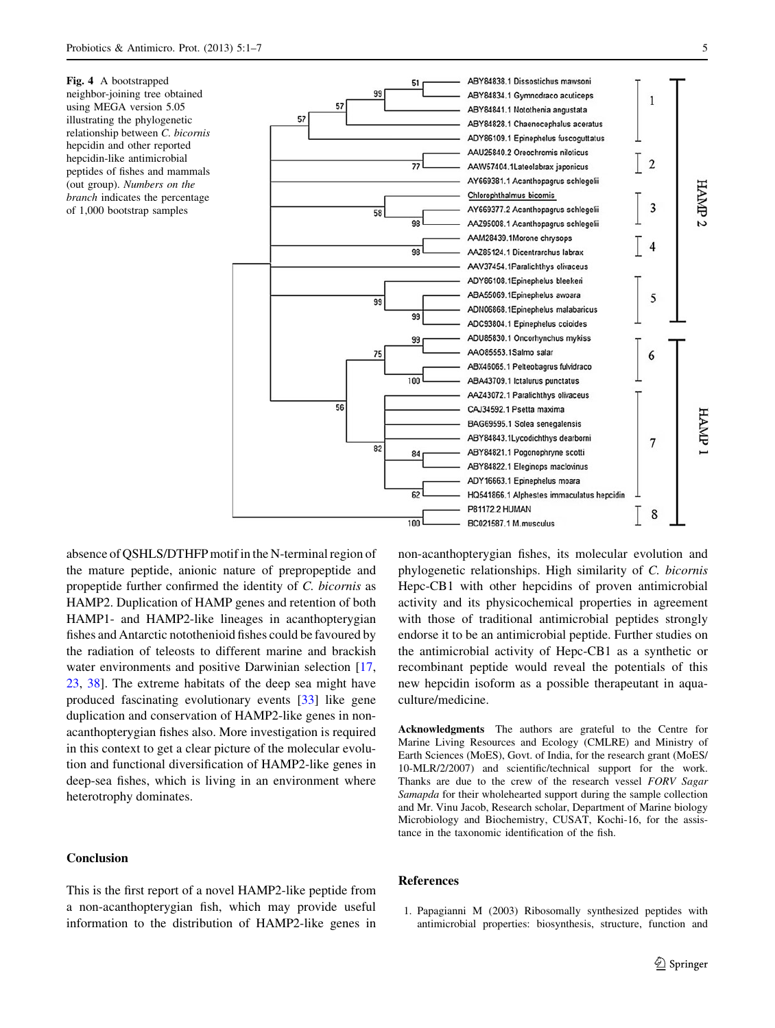<span id="page-4-0"></span>Fig. 4 A bootstrapped neighbor-joining tree obtained using MEGA version 5.05 illustrating the phylogenetic relationship between C. bicornis hepcidin and other reported hepcidin-like antimicrobial peptides of fishes and mammals (out group). Numbers on the branch indicates the percentage of 1,000 bootstrap samples



absence of QSHLS/DTHFP motif in the N-terminal region of the mature peptide, anionic nature of prepropeptide and propeptide further confirmed the identity of C. bicornis as HAMP2. Duplication of HAMP genes and retention of both HAMP1- and HAMP2-like lineages in acanthopterygian fishes and Antarctic notothenioid fishes could be favoured by the radiation of teleosts to different marine and brackish water environments and positive Darwinian selection [[17,](#page-5-0) [23](#page-5-0), [38](#page-6-0)]. The extreme habitats of the deep sea might have produced fascinating evolutionary events [[33\]](#page-5-0) like gene duplication and conservation of HAMP2-like genes in nonacanthopterygian fishes also. More investigation is required in this context to get a clear picture of the molecular evolution and functional diversification of HAMP2-like genes in deep-sea fishes, which is living in an environment where heterotrophy dominates.

## Conclusion

This is the first report of a novel HAMP2-like peptide from a non-acanthopterygian fish, which may provide useful information to the distribution of HAMP2-like genes in non-acanthopterygian fishes, its molecular evolution and phylogenetic relationships. High similarity of C. bicornis Hepc-CB1 with other hepcidins of proven antimicrobial activity and its physicochemical properties in agreement with those of traditional antimicrobial peptides strongly endorse it to be an antimicrobial peptide. Further studies on the antimicrobial activity of Hepc-CB1 as a synthetic or recombinant peptide would reveal the potentials of this new hepcidin isoform as a possible therapeutant in aquaculture/medicine.

Acknowledgments The authors are grateful to the Centre for Marine Living Resources and Ecology (CMLRE) and Ministry of Earth Sciences (MoES), Govt. of India, for the research grant (MoES/ 10-MLR/2/2007) and scientific/technical support for the work. Thanks are due to the crew of the research vessel FORV Sagar Samapda for their wholehearted support during the sample collection and Mr. Vinu Jacob, Research scholar, Department of Marine biology Microbiology and Biochemistry, CUSAT, Kochi-16, for the assistance in the taxonomic identification of the fish.

### References

1. Papagianni M (2003) Ribosomally synthesized peptides with antimicrobial properties: biosynthesis, structure, function and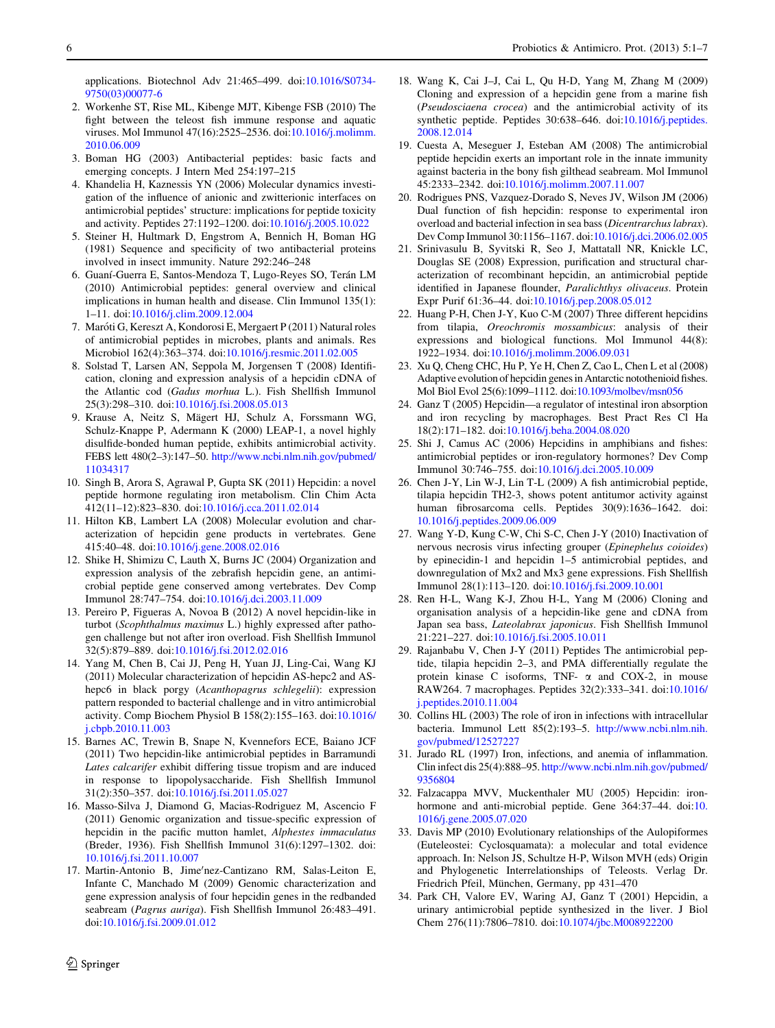<span id="page-5-0"></span>applications. Biotechnol Adv 21:465–499. doi:[10.1016/S0734-](http://dx.doi.org/10.1016/S0734-9750(03)00077-6) [9750\(03\)00077-6](http://dx.doi.org/10.1016/S0734-9750(03)00077-6)

- 2. Workenhe ST, Rise ML, Kibenge MJT, Kibenge FSB (2010) The fight between the teleost fish immune response and aquatic viruses. Mol Immunol 47(16):2525–2536. doi:[10.1016/j.molimm.](http://dx.doi.org/10.1016/j.molimm.2010.06.009) [2010.06.009](http://dx.doi.org/10.1016/j.molimm.2010.06.009)
- 3. Boman HG (2003) Antibacterial peptides: basic facts and emerging concepts. J Intern Med 254:197–215
- 4. Khandelia H, Kaznessis YN (2006) Molecular dynamics investigation of the influence of anionic and zwitterionic interfaces on antimicrobial peptides' structure: implications for peptide toxicity and activity. Peptides 27:1192–1200. doi[:10.1016/j.2005.10.022](http://dx.doi.org/10.1016/j.2005.10.022)
- 5. Steiner H, Hultmark D, Engstrom A, Bennich H, Boman HG (1981) Sequence and specificity of two antibacterial proteins involved in insect immunity. Nature 292:246–248
- 6. Guaní-Guerra E, Santos-Mendoza T, Lugo-Reyes SO, Terán LM (2010) Antimicrobial peptides: general overview and clinical implications in human health and disease. Clin Immunol 135(1): 1–11. doi:[10.1016/j.clim.2009.12.004](http://dx.doi.org/10.1016/j.clim.2009.12.004)
- 7. Maróti G, Kereszt A, Kondorosi E, Mergaert P (2011) Natural roles of antimicrobial peptides in microbes, plants and animals. Res Microbiol 162(4):363–374. doi:[10.1016/j.resmic.2011.02.005](http://dx.doi.org/10.1016/j.resmic.2011.02.005)
- 8. Solstad T, Larsen AN, Seppola M, Jorgensen T (2008) Identification, cloning and expression analysis of a hepcidin cDNA of the Atlantic cod (Gadus morhua L.). Fish Shellfish Immunol 25(3):298–310. doi[:10.1016/j.fsi.2008.05.013](http://dx.doi.org/10.1016/j.fsi.2008.05.013)
- 9. Krause A, Neitz S, Mägert HJ, Schulz A, Forssmann WG, Schulz-Knappe P, Adermann K (2000) LEAP-1, a novel highly disulfide-bonded human peptide, exhibits antimicrobial activity. FEBS lett 480(2–3):147–50. [http://www.ncbi.nlm.nih.gov/pubmed/](http://www.ncbi.nlm.nih.gov/pubmed/11034317) [11034317](http://www.ncbi.nlm.nih.gov/pubmed/11034317)
- 10. Singh B, Arora S, Agrawal P, Gupta SK (2011) Hepcidin: a novel peptide hormone regulating iron metabolism. Clin Chim Acta 412(11–12):823–830. doi[:10.1016/j.cca.2011.02.014](http://dx.doi.org/10.1016/j.cca.2011.02.014)
- 11. Hilton KB, Lambert LA (2008) Molecular evolution and characterization of hepcidin gene products in vertebrates. Gene 415:40–48. doi[:10.1016/j.gene.2008.02.016](http://dx.doi.org/10.1016/j.gene.2008.02.016)
- 12. Shike H, Shimizu C, Lauth X, Burns JC (2004) Organization and expression analysis of the zebrafish hepcidin gene, an antimicrobial peptide gene conserved among vertebrates. Dev Comp Immunol 28:747–754. doi[:10.1016/j.dci.2003.11.009](http://dx.doi.org/10.1016/j.dci.2003.11.009)
- 13. Pereiro P, Figueras A, Novoa B (2012) A novel hepcidin-like in turbot (Scophthalmus maximus L.) highly expressed after pathogen challenge but not after iron overload. Fish Shellfish Immunol 32(5):879–889. doi[:10.1016/j.fsi.2012.02.016](http://dx.doi.org/10.1016/j.fsi.2012.02.016)
- 14. Yang M, Chen B, Cai JJ, Peng H, Yuan JJ, Ling-Cai, Wang KJ (2011) Molecular characterization of hepcidin AS-hepc2 and AShepc6 in black porgy (Acanthopagrus schlegelii): expression pattern responded to bacterial challenge and in vitro antimicrobial activity. Comp Biochem Physiol B 158(2):155–163. doi[:10.1016/](http://dx.doi.org/10.1016/j.cbpb.2010.11.003) [j.cbpb.2010.11.003](http://dx.doi.org/10.1016/j.cbpb.2010.11.003)
- 15. Barnes AC, Trewin B, Snape N, Kvennefors ECE, Baiano JCF (2011) Two hepcidin-like antimicrobial peptides in Barramundi Lates calcarifer exhibit differing tissue tropism and are induced in response to lipopolysaccharide. Fish Shellfish Immunol 31(2):350–357. doi[:10.1016/j.fsi.2011.05.027](http://dx.doi.org/10.1016/j.fsi.2011.05.027)
- 16. Masso-Silva J, Diamond G, Macias-Rodriguez M, Ascencio F (2011) Genomic organization and tissue-specific expression of hepcidin in the pacific mutton hamlet, Alphestes immaculatus (Breder, 1936). Fish Shellfish Immunol 31(6):1297–1302. doi: [10.1016/j.fsi.2011.10.007](http://dx.doi.org/10.1016/j.fsi.2011.10.007)
- 17. Martin-Antonio B, Jime'nez-Cantizano RM, Salas-Leiton E, Infante C, Manchado M (2009) Genomic characterization and gene expression analysis of four hepcidin genes in the redbanded seabream (Pagrus auriga). Fish Shellfish Immunol 26:483–491. doi:[10.1016/j.fsi.2009.01.012](http://dx.doi.org/10.1016/j.fsi.2009.01.012)
- 18. Wang K, Cai J–J, Cai L, Qu H-D, Yang M, Zhang M (2009) Cloning and expression of a hepcidin gene from a marine fish (Pseudosciaena crocea) and the antimicrobial activity of its synthetic peptide. Peptides 30:638–646. doi[:10.1016/j.peptides.](http://dx.doi.org/10.1016/j.peptides.2008.12.014) [2008.12.014](http://dx.doi.org/10.1016/j.peptides.2008.12.014)
- 19. Cuesta A, Meseguer J, Esteban AM (2008) The antimicrobial peptide hepcidin exerts an important role in the innate immunity against bacteria in the bony fish gilthead seabream. Mol Immunol 45:2333–2342. doi:[10.1016/j.molimm.2007.11.007](http://dx.doi.org/10.1016/j.molimm.2007.11.007)
- 20. Rodrigues PNS, Vazquez-Dorado S, Neves JV, Wilson JM (2006) Dual function of fish hepcidin: response to experimental iron overload and bacterial infection in sea bass (Dicentrarchus labrax). Dev Comp Immunol 30:1156–1167. doi[:10.1016/j.dci.2006.02.005](http://dx.doi.org/10.1016/j.dci.2006.02.005)
- 21. Srinivasulu B, Syvitski R, Seo J, Mattatall NR, Knickle LC, Douglas SE (2008) Expression, purification and structural characterization of recombinant hepcidin, an antimicrobial peptide identified in Japanese flounder, Paralichthys olivaceus. Protein Expr Purif 61:36–44. doi:[10.1016/j.pep.2008.05.012](http://dx.doi.org/10.1016/j.pep.2008.05.012)
- 22. Huang P-H, Chen J-Y, Kuo C-M (2007) Three different hepcidins from tilapia, Oreochromis mossambicus: analysis of their expressions and biological functions. Mol Immunol 44(8): 1922–1934. doi:[10.1016/j.molimm.2006.09.031](http://dx.doi.org/10.1016/j.molimm.2006.09.031)
- 23. Xu Q, Cheng CHC, Hu P, Ye H, Chen Z, Cao L, Chen L et al (2008) Adaptive evolution of hepcidin genes in Antarctic notothenioid fishes. Mol Biol Evol 25(6):1099–1112. doi:[10.1093/molbev/msn056](http://dx.doi.org/10.1093/molbev/msn056)
- 24. Ganz T (2005) Hepcidin—a regulator of intestinal iron absorption and iron recycling by macrophages. Best Pract Res Cl Ha 18(2):171–182. doi[:10.1016/j.beha.2004.08.020](http://dx.doi.org/10.1016/j.beha.2004.08.020)
- 25. Shi J, Camus AC (2006) Hepcidins in amphibians and fishes: antimicrobial peptides or iron-regulatory hormones? Dev Comp Immunol 30:746–755. doi[:10.1016/j.dci.2005.10.009](http://dx.doi.org/10.1016/j.dci.2005.10.009)
- 26. Chen J-Y, Lin W-J, Lin T-L (2009) A fish antimicrobial peptide, tilapia hepcidin TH2-3, shows potent antitumor activity against human fibrosarcoma cells. Peptides 30(9):1636–1642. doi: [10.1016/j.peptides.2009.06.009](http://dx.doi.org/10.1016/j.peptides.2009.06.009)
- 27. Wang Y-D, Kung C-W, Chi S-C, Chen J-Y (2010) Inactivation of nervous necrosis virus infecting grouper (Epinephelus coioides) by epinecidin-1 and hepcidin 1–5 antimicrobial peptides, and downregulation of Mx2 and Mx3 gene expressions. Fish Shellfish Immunol 28(1):113–120. doi[:10.1016/j.fsi.2009.10.001](http://dx.doi.org/10.1016/j.fsi.2009.10.001)
- 28. Ren H-L, Wang K-J, Zhou H-L, Yang M (2006) Cloning and organisation analysis of a hepcidin-like gene and cDNA from Japan sea bass, Lateolabrax japonicus. Fish Shellfish Immunol 21:221–227. doi[:10.1016/j.fsi.2005.10.011](http://dx.doi.org/10.1016/j.fsi.2005.10.011)
- 29. Rajanbabu V, Chen J-Y (2011) Peptides The antimicrobial peptide, tilapia hepcidin 2–3, and PMA differentially regulate the protein kinase C isoforms, TNF-  $\alpha$  and COX-2, in mouse RAW264. 7 macrophages. Peptides 32(2):333–341. doi[:10.1016/](http://dx.doi.org/10.1016/j.peptides.2010.11.004) [j.peptides.2010.11.004](http://dx.doi.org/10.1016/j.peptides.2010.11.004)
- 30. Collins HL (2003) The role of iron in infections with intracellular bacteria. Immunol Lett 85(2):193–5. [http://www.ncbi.nlm.nih.](http://www.ncbi.nlm.nih.gov/pubmed/12527227) [gov/pubmed/12527227](http://www.ncbi.nlm.nih.gov/pubmed/12527227)
- 31. Jurado RL (1997) Iron, infections, and anemia of inflammation. Clin infect dis 25(4):888–95. [http://www.ncbi.nlm.nih.gov/pubmed/](http://www.ncbi.nlm.nih.gov/pubmed/9356804) [9356804](http://www.ncbi.nlm.nih.gov/pubmed/9356804)
- 32. Falzacappa MVV, Muckenthaler MU (2005) Hepcidin: iron-hormone and anti-microbial peptide. Gene 364:37-44. doi:[10.](http://dx.doi.org/10.1016/j.gene.2005.07.020) [1016/j.gene.2005.07.020](http://dx.doi.org/10.1016/j.gene.2005.07.020)
- 33. Davis MP (2010) Evolutionary relationships of the Aulopiformes (Euteleostei: Cyclosquamata): a molecular and total evidence approach. In: Nelson JS, Schultze H-P, Wilson MVH (eds) Origin and Phylogenetic Interrelationships of Teleosts. Verlag Dr. Friedrich Pfeil, München, Germany, pp 431-470
- 34. Park CH, Valore EV, Waring AJ, Ganz T (2001) Hepcidin, a urinary antimicrobial peptide synthesized in the liver. J Biol Chem 276(11):7806–7810. doi[:10.1074/jbc.M008922200](http://dx.doi.org/10.1074/jbc.M008922200)